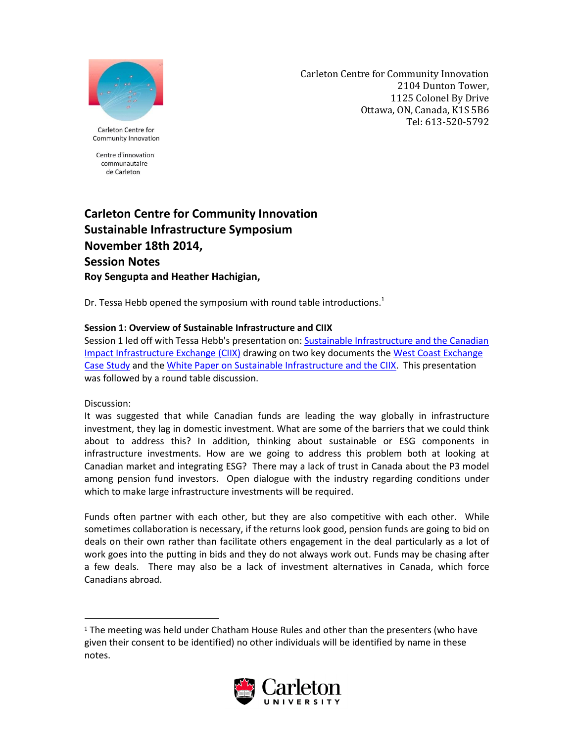

Carleton Centre for Community Innovation 2104 Dunton Tower, 1125 Colonel By Drive Ottawa, ON, Canada, K1S 5B6 Tel: 613-520-5792

Carleton Centre for Community Innovation

Centre d'innovation communautaire de Carleton

# **Carleton Centre for Community Innovation Sustainable Infrastructure Symposium November 18th 2014, Session Notes Roy Sengupta and Heather Hachigian,**

Dr. Tessa Hebb opened the symposium with round table introductions.<sup>1</sup>

# **Session 1: Overview of Sustainable Infrastructure and CIIX**

Session 1 led off with Tessa Hebb's presentation on[: Sustainable Infrastructure and the Canadian](http://carleton.ca/3ci/wp-content/uploads/1-Nov-18-Symposium-Hebb-CIIX.pdf)  [Impact Infrastructure Exchange](http://carleton.ca/3ci/wp-content/uploads/1-Nov-18-Symposium-Hebb-CIIX.pdf) (CIIX) drawing on two key documents th[e West Coast Exchange](http://carleton.ca/3ci/wp-content/uploads/WCX-2014-Case-Study_Final.pdf)  [Case Study](http://carleton.ca/3ci/wp-content/uploads/WCX-2014-Case-Study_Final.pdf) and the [White Paper on Sustainable Infrastructure and the CIIX.](http://carleton.ca/3ci/wp-content/uploads/Sustainable-Symposium-White-Paper.pdf) This presentation was followed by a round table discussion.

# Discussion:

 $\overline{\phantom{a}}$ 

It was suggested that while Canadian funds are leading the way globally in infrastructure investment, they lag in domestic investment. What are some of the barriers that we could think about to address this? In addition, thinking about sustainable or ESG components in infrastructure investments. How are we going to address this problem both at looking at Canadian market and integrating ESG? There may a lack of trust in Canada about the P3 model among pension fund investors. Open dialogue with the industry regarding conditions under which to make large infrastructure investments will be required.

Funds often partner with each other, but they are also competitive with each other. While sometimes collaboration is necessary, if the returns look good, pension funds are going to bid on deals on their own rather than facilitate others engagement in the deal particularly as a lot of work goes into the putting in bids and they do not always work out. Funds may be chasing after a few deals. There may also be a lack of investment alternatives in Canada, which force Canadians abroad.

 $1$  The meeting was held under Chatham House Rules and other than the presenters (who have given their consent to be identified) no other individuals will be identified by name in these notes.

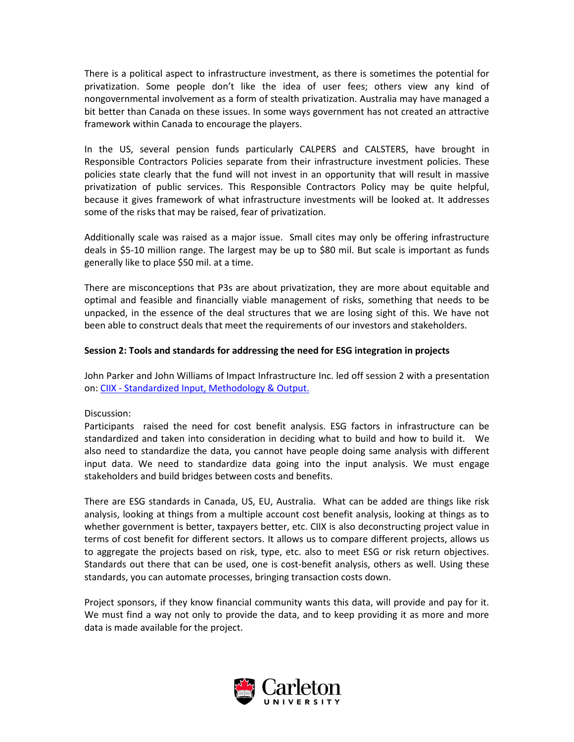There is a political aspect to infrastructure investment, as there is sometimes the potential for privatization. Some people don't like the idea of user fees; others view any kind of nongovernmental involvement as a form of stealth privatization. Australia may have managed a bit better than Canada on these issues. In some ways government has not created an attractive framework within Canada to encourage the players.

In the US, several pension funds particularly CALPERS and CALSTERS, have brought in Responsible Contractors Policies separate from their infrastructure investment policies. These policies state clearly that the fund will not invest in an opportunity that will result in massive privatization of public services. This Responsible Contractors Policy may be quite helpful, because it gives framework of what infrastructure investments will be looked at. It addresses some of the risks that may be raised, fear of privatization.

Additionally scale was raised as a major issue. Small cites may only be offering infrastructure deals in \$5-10 million range. The largest may be up to \$80 mil. But scale is important as funds generally like to place \$50 mil. at a time.

There are misconceptions that P3s are about privatization, they are more about equitable and optimal and feasible and financially viable management of risks, something that needs to be unpacked, in the essence of the deal structures that we are losing sight of this. We have not been able to construct deals that meet the requirements of our investors and stakeholders.

# **Session 2: Tools and standards for addressing the need for ESG integration in projects**

John Parker and John Williams of Impact Infrastructure Inc. led off session 2 with a presentation on: CIIX - [Standardized Input, Methodology & Output.](http://carleton.ca/3ci/wp-content/uploads/ii_CIIX_Nov_18_2014_Symposium_final.pdf) 

# Discussion:

Participants raised the need for cost benefit analysis. ESG factors in infrastructure can be standardized and taken into consideration in deciding what to build and how to build it. We also need to standardize the data, you cannot have people doing same analysis with different input data. We need to standardize data going into the input analysis. We must engage stakeholders and build bridges between costs and benefits.

There are ESG standards in Canada, US, EU, Australia. What can be added are things like risk analysis, looking at things from a multiple account cost benefit analysis, looking at things as to whether government is better, taxpayers better, etc. CIIX is also deconstructing project value in terms of cost benefit for different sectors. It allows us to compare different projects, allows us to aggregate the projects based on risk, type, etc. also to meet ESG or risk return objectives. Standards out there that can be used, one is cost-benefit analysis, others as well. Using these standards, you can automate processes, bringing transaction costs down.

Project sponsors, if they know financial community wants this data, will provide and pay for it. We must find a way not only to provide the data, and to keep providing it as more and more data is made available for the project.

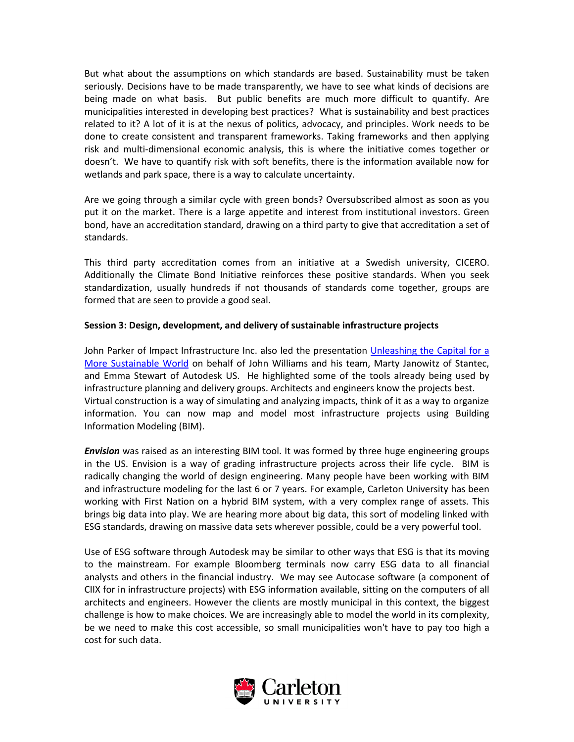But what about the assumptions on which standards are based. Sustainability must be taken seriously. Decisions have to be made transparently, we have to see what kinds of decisions are being made on what basis. But public benefits are much more difficult to quantify. Are municipalities interested in developing best practices? What is sustainability and best practices related to it? A lot of it is at the nexus of politics, advocacy, and principles. Work needs to be done to create consistent and transparent frameworks. Taking frameworks and then applying risk and multi-dimensional economic analysis, this is where the initiative comes together or doesn't. We have to quantify risk with soft benefits, there is the information available now for wetlands and park space, there is a way to calculate uncertainty.

Are we going through a similar cycle with green bonds? Oversubscribed almost as soon as you put it on the market. There is a large appetite and interest from institutional investors. Green bond, have an accreditation standard, drawing on a third party to give that accreditation a set of standards.

This third party accreditation comes from an initiative at a Swedish university, CICERO. Additionally the Climate Bond Initiative reinforces these positive standards. When you seek standardization, usually hundreds if not thousands of standards come together, groups are formed that are seen to provide a good seal.

# **Session 3: Design, development, and delivery of sustainable infrastructure projects**

John Parker of Impact Infrastructure Inc. also led the presentation Unleashing the Capital for a [More Sustainable World](http://carleton.ca/3ci/wp-content/uploads/ii_CIIX_Design_November_18_final_linked_videos.pdf) on behalf of John Williams and his team, Marty Janowitz of Stantec, and Emma Stewart of Autodesk US. He highlighted some of the tools already being used by infrastructure planning and delivery groups. Architects and engineers know the projects best. Virtual construction is a way of simulating and analyzing impacts, think of it as a way to organize information. You can now map and model most infrastructure projects using Building Information Modeling (BIM).

*Envision* was raised as an interesting BIM tool. It was formed by three huge engineering groups in the US. Envision is a way of grading infrastructure projects across their life cycle. BIM is radically changing the world of design engineering. Many people have been working with BIM and infrastructure modeling for the last 6 or 7 years. For example, Carleton University has been working with First Nation on a hybrid BIM system, with a very complex range of assets. This brings big data into play. We are hearing more about big data, this sort of modeling linked with ESG standards, drawing on massive data sets wherever possible, could be a very powerful tool.

Use of ESG software through Autodesk may be similar to other ways that ESG is that its moving to the mainstream. For example Bloomberg terminals now carry ESG data to all financial analysts and others in the financial industry. We may see Autocase software (a component of CIIX for in infrastructure projects) with ESG information available, sitting on the computers of all architects and engineers. However the clients are mostly municipal in this context, the biggest challenge is how to make choices. We are increasingly able to model the world in its complexity, be we need to make this cost accessible, so small municipalities won't have to pay too high a cost for such data.

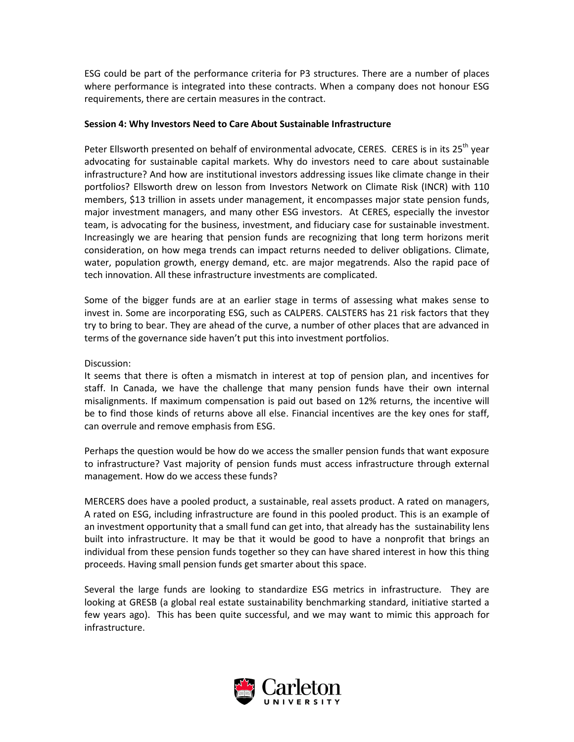ESG could be part of the performance criteria for P3 structures. There are a number of places where performance is integrated into these contracts. When a company does not honour ESG requirements, there are certain measures in the contract.

#### **Session 4: Why Investors Need to Care About Sustainable Infrastructure**

Peter Ellsworth presented on behalf of environmental advocate, CERES. CERES is in its 25<sup>th</sup> year advocating for sustainable capital markets. Why do investors need to care about sustainable infrastructure? And how are institutional investors addressing issues like climate change in their portfolios? Ellsworth drew on lesson from Investors Network on Climate Risk (INCR) with 110 members, \$13 trillion in assets under management, it encompasses major state pension funds, major investment managers, and many other ESG investors. At CERES, especially the investor team, is advocating for the business, investment, and fiduciary case for sustainable investment. Increasingly we are hearing that pension funds are recognizing that long term horizons merit consideration, on how mega trends can impact returns needed to deliver obligations. Climate, water, population growth, energy demand, etc. are major megatrends. Also the rapid pace of tech innovation. All these infrastructure investments are complicated.

Some of the bigger funds are at an earlier stage in terms of assessing what makes sense to invest in. Some are incorporating ESG, such as CALPERS. CALSTERS has 21 risk factors that they try to bring to bear. They are ahead of the curve, a number of other places that are advanced in terms of the governance side haven't put this into investment portfolios.

#### Discussion:

It seems that there is often a mismatch in interest at top of pension plan, and incentives for staff. In Canada, we have the challenge that many pension funds have their own internal misalignments. If maximum compensation is paid out based on 12% returns, the incentive will be to find those kinds of returns above all else. Financial incentives are the key ones for staff, can overrule and remove emphasis from ESG.

Perhaps the question would be how do we access the smaller pension funds that want exposure to infrastructure? Vast majority of pension funds must access infrastructure through external management. How do we access these funds?

MERCERS does have a pooled product, a sustainable, real assets product. A rated on managers, A rated on ESG, including infrastructure are found in this pooled product. This is an example of an investment opportunity that a small fund can get into, that already has the sustainability lens built into infrastructure. It may be that it would be good to have a nonprofit that brings an individual from these pension funds together so they can have shared interest in how this thing proceeds. Having small pension funds get smarter about this space.

Several the large funds are looking to standardize ESG metrics in infrastructure. They are looking at GRESB (a global real estate sustainability benchmarking standard, initiative started a few years ago). This has been quite successful, and we may want to mimic this approach for infrastructure.

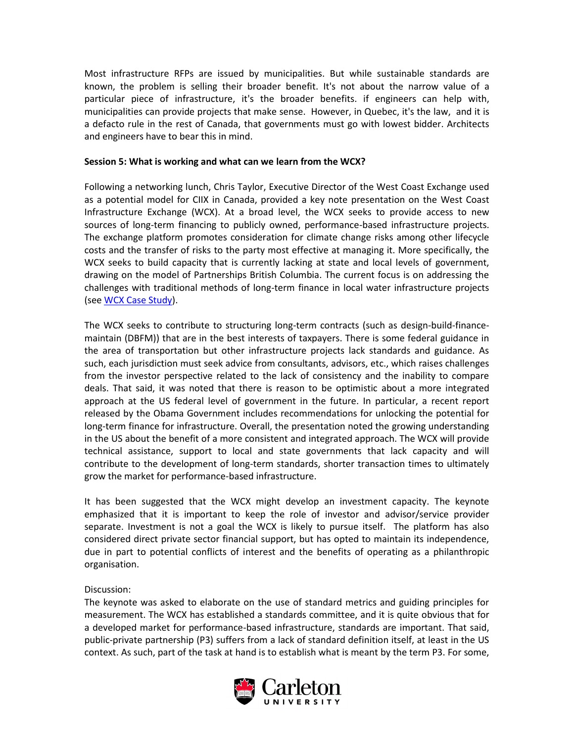Most infrastructure RFPs are issued by municipalities. But while sustainable standards are known, the problem is selling their broader benefit. It's not about the narrow value of a particular piece of infrastructure, it's the broader benefits. if engineers can help with, municipalities can provide projects that make sense. However, in Quebec, it's the law, and it is a defacto rule in the rest of Canada, that governments must go with lowest bidder. Architects and engineers have to bear this in mind.

#### **Session 5: What is working and what can we learn from the WCX?**

Following a networking lunch, Chris Taylor, Executive Director of the West Coast Exchange used as a potential model for CIIX in Canada, provided a key note presentation on the West Coast Infrastructure Exchange (WCX). At a broad level, the WCX seeks to provide access to new sources of long-term financing to publicly owned, performance-based infrastructure projects. The exchange platform promotes consideration for climate change risks among other lifecycle costs and the transfer of risks to the party most effective at managing it. More specifically, the WCX seeks to build capacity that is currently lacking at state and local levels of government, drawing on the model of Partnerships British Columbia. The current focus is on addressing the challenges with traditional methods of long-term finance in local water infrastructure projects (see [WCX Case Study\)](http://carleton.ca/3ci/wp-content/uploads/WCX-2014-Case-Study_Final.pdf).

The WCX seeks to contribute to structuring long-term contracts (such as design-build-financemaintain (DBFM)) that are in the best interests of taxpayers. There is some federal guidance in the area of transportation but other infrastructure projects lack standards and guidance. As such, each jurisdiction must seek advice from consultants, advisors, etc., which raises challenges from the investor perspective related to the lack of consistency and the inability to compare deals. That said, it was noted that there is reason to be optimistic about a more integrated approach at the US federal level of government in the future. In particular, a recent report released by the Obama Government includes recommendations for unlocking the potential for long-term finance for infrastructure. Overall, the presentation noted the growing understanding in the US about the benefit of a more consistent and integrated approach. The WCX will provide technical assistance, support to local and state governments that lack capacity and will contribute to the development of long-term standards, shorter transaction times to ultimately grow the market for performance-based infrastructure.

It has been suggested that the WCX might develop an investment capacity. The keynote emphasized that it is important to keep the role of investor and advisor/service provider separate. Investment is not a goal the WCX is likely to pursue itself. The platform has also considered direct private sector financial support, but has opted to maintain its independence, due in part to potential conflicts of interest and the benefits of operating as a philanthropic organisation.

# Discussion:

The keynote was asked to elaborate on the use of standard metrics and guiding principles for measurement. The WCX has established a standards committee, and it is quite obvious that for a developed market for performance-based infrastructure, standards are important. That said, public-private partnership (P3) suffers from a lack of standard definition itself, at least in the US context. As such, part of the task at hand is to establish what is meant by the term P3. For some,

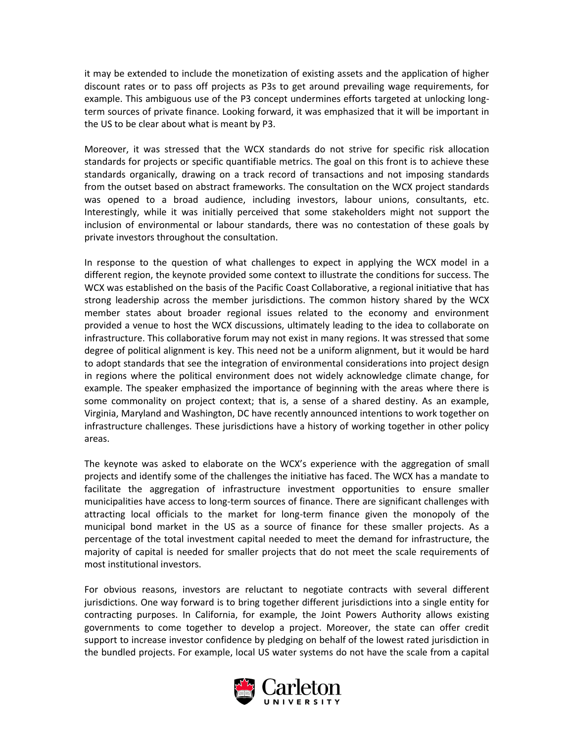it may be extended to include the monetization of existing assets and the application of higher discount rates or to pass off projects as P3s to get around prevailing wage requirements, for example. This ambiguous use of the P3 concept undermines efforts targeted at unlocking longterm sources of private finance. Looking forward, it was emphasized that it will be important in the US to be clear about what is meant by P3.

Moreover, it was stressed that the WCX standards do not strive for specific risk allocation standards for projects or specific quantifiable metrics. The goal on this front is to achieve these standards organically, drawing on a track record of transactions and not imposing standards from the outset based on abstract frameworks. The consultation on the WCX project standards was opened to a broad audience, including investors, labour unions, consultants, etc. Interestingly, while it was initially perceived that some stakeholders might not support the inclusion of environmental or labour standards, there was no contestation of these goals by private investors throughout the consultation.

In response to the question of what challenges to expect in applying the WCX model in a different region, the keynote provided some context to illustrate the conditions for success. The WCX was established on the basis of the Pacific Coast Collaborative, a regional initiative that has strong leadership across the member jurisdictions. The common history shared by the WCX member states about broader regional issues related to the economy and environment provided a venue to host the WCX discussions, ultimately leading to the idea to collaborate on infrastructure. This collaborative forum may not exist in many regions. It was stressed that some degree of political alignment is key. This need not be a uniform alignment, but it would be hard to adopt standards that see the integration of environmental considerations into project design in regions where the political environment does not widely acknowledge climate change, for example. The speaker emphasized the importance of beginning with the areas where there is some commonality on project context; that is, a sense of a shared destiny. As an example, Virginia, Maryland and Washington, DC have recently announced intentions to work together on infrastructure challenges. These jurisdictions have a history of working together in other policy areas.

The keynote was asked to elaborate on the WCX's experience with the aggregation of small projects and identify some of the challenges the initiative has faced. The WCX has a mandate to facilitate the aggregation of infrastructure investment opportunities to ensure smaller municipalities have access to long-term sources of finance. There are significant challenges with attracting local officials to the market for long-term finance given the monopoly of the municipal bond market in the US as a source of finance for these smaller projects. As a percentage of the total investment capital needed to meet the demand for infrastructure, the majority of capital is needed for smaller projects that do not meet the scale requirements of most institutional investors.

For obvious reasons, investors are reluctant to negotiate contracts with several different jurisdictions. One way forward is to bring together different jurisdictions into a single entity for contracting purposes. In California, for example, the Joint Powers Authority allows existing governments to come together to develop a project. Moreover, the state can offer credit support to increase investor confidence by pledging on behalf of the lowest rated jurisdiction in the bundled projects. For example, local US water systems do not have the scale from a capital

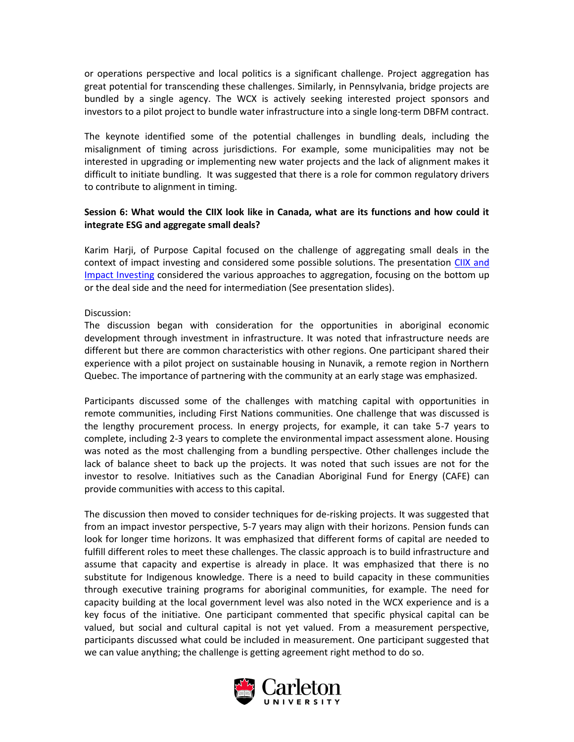or operations perspective and local politics is a significant challenge. Project aggregation has great potential for transcending these challenges. Similarly, in Pennsylvania, bridge projects are bundled by a single agency. The WCX is actively seeking interested project sponsors and investors to a pilot project to bundle water infrastructure into a single long-term DBFM contract.

The keynote identified some of the potential challenges in bundling deals, including the misalignment of timing across jurisdictions. For example, some municipalities may not be interested in upgrading or implementing new water projects and the lack of alignment makes it difficult to initiate bundling. It was suggested that there is a role for common regulatory drivers to contribute to alignment in timing.

# **Session 6: What would the CIIX look like in Canada, what are its functions and how could it integrate ESG and aggregate small deals?**

Karim Harji, of Purpose Capital focused on the challenge of aggregating small deals in the context of impact investing and considered some possible solutions. The presentation [CIIX and](http://carleton.ca/3ci/wp-content/uploads/WCX-2014-Case-Study_Final.pdf)  [Impact Investing](http://carleton.ca/3ci/wp-content/uploads/WCX-2014-Case-Study_Final.pdf) considered the various approaches to aggregation, focusing on the bottom up or the deal side and the need for intermediation (See presentation slides).

#### Discussion:

The discussion began with consideration for the opportunities in aboriginal economic development through investment in infrastructure. It was noted that infrastructure needs are different but there are common characteristics with other regions. One participant shared their experience with a pilot project on sustainable housing in Nunavik, a remote region in Northern Quebec. The importance of partnering with the community at an early stage was emphasized.

Participants discussed some of the challenges with matching capital with opportunities in remote communities, including First Nations communities. One challenge that was discussed is the lengthy procurement process. In energy projects, for example, it can take 5-7 years to complete, including 2-3 years to complete the environmental impact assessment alone. Housing was noted as the most challenging from a bundling perspective. Other challenges include the lack of balance sheet to back up the projects. It was noted that such issues are not for the investor to resolve. Initiatives such as the Canadian Aboriginal Fund for Energy (CAFE) can provide communities with access to this capital.

The discussion then moved to consider techniques for de-risking projects. It was suggested that from an impact investor perspective, 5-7 years may align with their horizons. Pension funds can look for longer time horizons. It was emphasized that different forms of capital are needed to fulfill different roles to meet these challenges. The classic approach is to build infrastructure and assume that capacity and expertise is already in place. It was emphasized that there is no substitute for Indigenous knowledge. There is a need to build capacity in these communities through executive training programs for aboriginal communities, for example. The need for capacity building at the local government level was also noted in the WCX experience and is a key focus of the initiative. One participant commented that specific physical capital can be valued, but social and cultural capital is not yet valued. From a measurement perspective, participants discussed what could be included in measurement. One participant suggested that we can value anything; the challenge is getting agreement right method to do so.

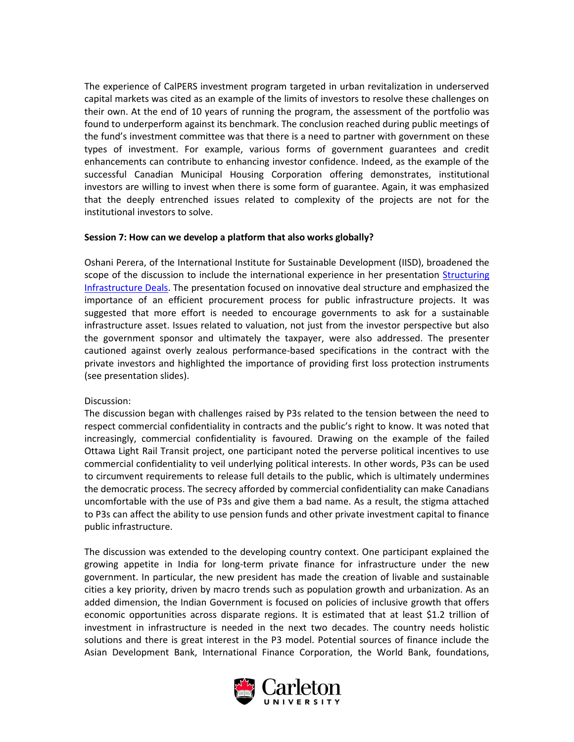The experience of CalPERS investment program targeted in urban revitalization in underserved capital markets was cited as an example of the limits of investors to resolve these challenges on their own. At the end of 10 years of running the program, the assessment of the portfolio was found to underperform against its benchmark. The conclusion reached during public meetings of the fund's investment committee was that there is a need to partner with government on these types of investment. For example, various forms of government guarantees and credit enhancements can contribute to enhancing investor confidence. Indeed, as the example of the successful Canadian Municipal Housing Corporation offering demonstrates, institutional investors are willing to invest when there is some form of guarantee. Again, it was emphasized that the deeply entrenched issues related to complexity of the projects are not for the institutional investors to solve.

# **Session 7: How can we develop a platform that also works globally?**

Oshani Perera, of the International Institute for Sustainable Development (IISD), broadened the scope of the discussion to include the international experience in her presentation Structuring [Infrastructure Deals.](http://carleton.ca/3ci/wp-content/uploads/8-CIIX-canada.pdf) The presentation focused on innovative deal structure and emphasized the importance of an efficient procurement process for public infrastructure projects. It was suggested that more effort is needed to encourage governments to ask for a sustainable infrastructure asset. Issues related to valuation, not just from the investor perspective but also the government sponsor and ultimately the taxpayer, were also addressed. The presenter cautioned against overly zealous performance-based specifications in the contract with the private investors and highlighted the importance of providing first loss protection instruments (see presentation slides).

#### Discussion:

The discussion began with challenges raised by P3s related to the tension between the need to respect commercial confidentiality in contracts and the public's right to know. It was noted that increasingly, commercial confidentiality is favoured. Drawing on the example of the failed Ottawa Light Rail Transit project, one participant noted the perverse political incentives to use commercial confidentiality to veil underlying political interests. In other words, P3s can be used to circumvent requirements to release full details to the public, which is ultimately undermines the democratic process. The secrecy afforded by commercial confidentiality can make Canadians uncomfortable with the use of P3s and give them a bad name. As a result, the stigma attached to P3s can affect the ability to use pension funds and other private investment capital to finance public infrastructure.

The discussion was extended to the developing country context. One participant explained the growing appetite in India for long-term private finance for infrastructure under the new government. In particular, the new president has made the creation of livable and sustainable cities a key priority, driven by macro trends such as population growth and urbanization. As an added dimension, the Indian Government is focused on policies of inclusive growth that offers economic opportunities across disparate regions. It is estimated that at least \$1.2 trillion of investment in infrastructure is needed in the next two decades. The country needs holistic solutions and there is great interest in the P3 model. Potential sources of finance include the Asian Development Bank, International Finance Corporation, the World Bank, foundations,

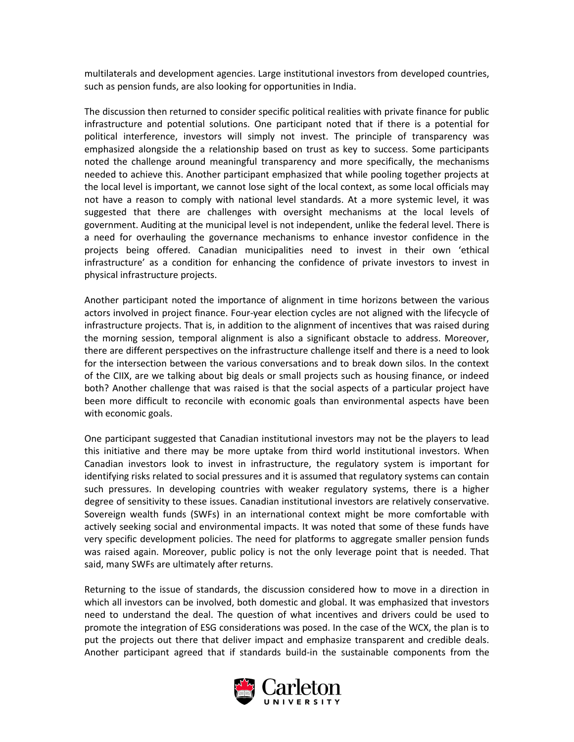multilaterals and development agencies. Large institutional investors from developed countries, such as pension funds, are also looking for opportunities in India.

The discussion then returned to consider specific political realities with private finance for public infrastructure and potential solutions. One participant noted that if there is a potential for political interference, investors will simply not invest. The principle of transparency was emphasized alongside the a relationship based on trust as key to success. Some participants noted the challenge around meaningful transparency and more specifically, the mechanisms needed to achieve this. Another participant emphasized that while pooling together projects at the local level is important, we cannot lose sight of the local context, as some local officials may not have a reason to comply with national level standards. At a more systemic level, it was suggested that there are challenges with oversight mechanisms at the local levels of government. Auditing at the municipal level is not independent, unlike the federal level. There is a need for overhauling the governance mechanisms to enhance investor confidence in the projects being offered. Canadian municipalities need to invest in their own 'ethical infrastructure' as a condition for enhancing the confidence of private investors to invest in physical infrastructure projects.

Another participant noted the importance of alignment in time horizons between the various actors involved in project finance. Four-year election cycles are not aligned with the lifecycle of infrastructure projects. That is, in addition to the alignment of incentives that was raised during the morning session, temporal alignment is also a significant obstacle to address. Moreover, there are different perspectives on the infrastructure challenge itself and there is a need to look for the intersection between the various conversations and to break down silos. In the context of the CIIX, are we talking about big deals or small projects such as housing finance, or indeed both? Another challenge that was raised is that the social aspects of a particular project have been more difficult to reconcile with economic goals than environmental aspects have been with economic goals.

One participant suggested that Canadian institutional investors may not be the players to lead this initiative and there may be more uptake from third world institutional investors. When Canadian investors look to invest in infrastructure, the regulatory system is important for identifying risks related to social pressures and it is assumed that regulatory systems can contain such pressures. In developing countries with weaker regulatory systems, there is a higher degree of sensitivity to these issues. Canadian institutional investors are relatively conservative. Sovereign wealth funds (SWFs) in an international context might be more comfortable with actively seeking social and environmental impacts. It was noted that some of these funds have very specific development policies. The need for platforms to aggregate smaller pension funds was raised again. Moreover, public policy is not the only leverage point that is needed. That said, many SWFs are ultimately after returns.

Returning to the issue of standards, the discussion considered how to move in a direction in which all investors can be involved, both domestic and global. It was emphasized that investors need to understand the deal. The question of what incentives and drivers could be used to promote the integration of ESG considerations was posed. In the case of the WCX, the plan is to put the projects out there that deliver impact and emphasize transparent and credible deals. Another participant agreed that if standards build-in the sustainable components from the

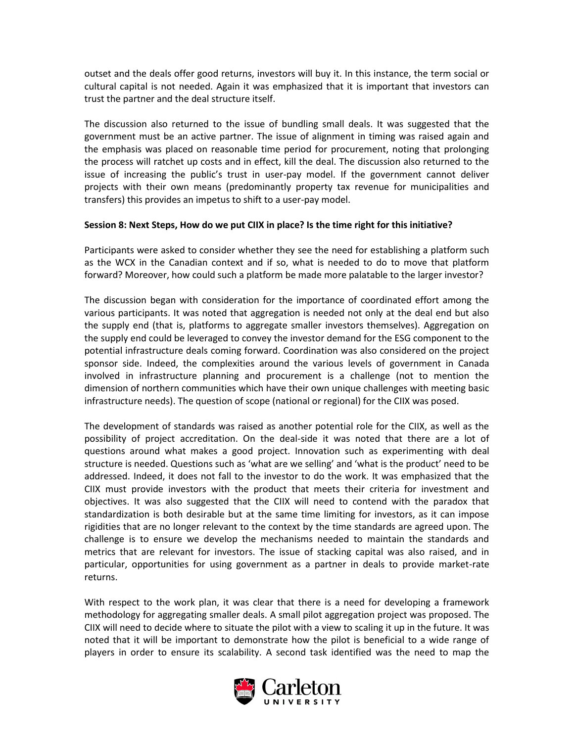outset and the deals offer good returns, investors will buy it. In this instance, the term social or cultural capital is not needed. Again it was emphasized that it is important that investors can trust the partner and the deal structure itself.

The discussion also returned to the issue of bundling small deals. It was suggested that the government must be an active partner. The issue of alignment in timing was raised again and the emphasis was placed on reasonable time period for procurement, noting that prolonging the process will ratchet up costs and in effect, kill the deal. The discussion also returned to the issue of increasing the public's trust in user-pay model. If the government cannot deliver projects with their own means (predominantly property tax revenue for municipalities and transfers) this provides an impetus to shift to a user-pay model.

#### **Session 8: Next Steps, How do we put CIIX in place? Is the time right for this initiative?**

Participants were asked to consider whether they see the need for establishing a platform such as the WCX in the Canadian context and if so, what is needed to do to move that platform forward? Moreover, how could such a platform be made more palatable to the larger investor?

The discussion began with consideration for the importance of coordinated effort among the various participants. It was noted that aggregation is needed not only at the deal end but also the supply end (that is, platforms to aggregate smaller investors themselves). Aggregation on the supply end could be leveraged to convey the investor demand for the ESG component to the potential infrastructure deals coming forward. Coordination was also considered on the project sponsor side. Indeed, the complexities around the various levels of government in Canada involved in infrastructure planning and procurement is a challenge (not to mention the dimension of northern communities which have their own unique challenges with meeting basic infrastructure needs). The question of scope (national or regional) for the CIIX was posed.

The development of standards was raised as another potential role for the CIIX, as well as the possibility of project accreditation. On the deal-side it was noted that there are a lot of questions around what makes a good project. Innovation such as experimenting with deal structure is needed. Questions such as 'what are we selling' and 'what is the product' need to be addressed. Indeed, it does not fall to the investor to do the work. It was emphasized that the CIIX must provide investors with the product that meets their criteria for investment and objectives. It was also suggested that the CIIX will need to contend with the paradox that standardization is both desirable but at the same time limiting for investors, as it can impose rigidities that are no longer relevant to the context by the time standards are agreed upon. The challenge is to ensure we develop the mechanisms needed to maintain the standards and metrics that are relevant for investors. The issue of stacking capital was also raised, and in particular, opportunities for using government as a partner in deals to provide market-rate returns.

With respect to the work plan, it was clear that there is a need for developing a framework methodology for aggregating smaller deals. A small pilot aggregation project was proposed. The CIIX will need to decide where to situate the pilot with a view to scaling it up in the future. It was noted that it will be important to demonstrate how the pilot is beneficial to a wide range of players in order to ensure its scalability. A second task identified was the need to map the